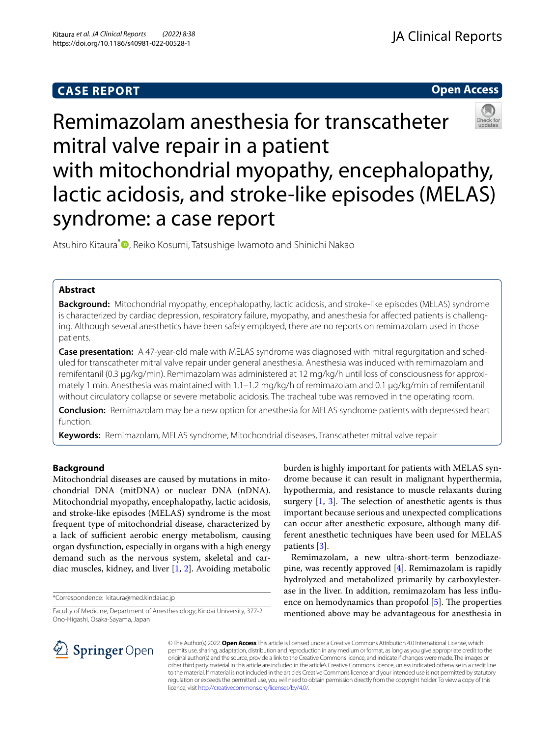## **CASE REPORT**



# Remimazolam anesthesia for transcatheter mitral valve repair in a patient with mitochondrial myopathy, encephalopathy, lactic acidosis, and stroke-like episodes (MELAS) syndrome: a case report

Atsuhiro Kitaura<sup>\*</sup> [,](http://orcid.org/0000-0002-5245-6267) Reiko Kosumi, Tatsushige Iwamoto and Shinichi Nakao

## **Abstract**

**Background:** Mitochondrial myopathy, encephalopathy, lactic acidosis, and stroke-like episodes (MELAS) syndrome is characterized by cardiac depression, respiratory failure, myopathy, and anesthesia for afected patients is challenging. Although several anesthetics have been safely employed, there are no reports on remimazolam used in those patients.

**Case presentation:** A 47-year-old male with MELAS syndrome was diagnosed with mitral regurgitation and scheduled for transcatheter mitral valve repair under general anesthesia. Anesthesia was induced with remimazolam and remifentanil (0.3 µg/kg/min). Remimazolam was administered at 12 mg/kg/h until loss of consciousness for approximately 1 min. Anesthesia was maintained with 1.1–1.2 mg/kg/h of remimazolam and 0.1 µg/kg/min of remifentanil without circulatory collapse or severe metabolic acidosis. The tracheal tube was removed in the operating room.

**Conclusion:** Remimazolam may be a new option for anesthesia for MELAS syndrome patients with depressed heart function.

**Keywords:** Remimazolam, MELAS syndrome, Mitochondrial diseases, Transcatheter mitral valve repair

## **Background**

Mitochondrial diseases are caused by mutations in mitochondrial DNA (mitDNA) or nuclear DNA (nDNA). Mitochondrial myopathy, encephalopathy, lactic acidosis, and stroke-like episodes (MELAS) syndrome is the most frequent type of mitochondrial disease, characterized by a lack of sufficient aerobic energy metabolism, causing organ dysfunction, especially in organs with a high energy demand such as the nervous system, skeletal and cardiac muscles, kidney, and liver [[1,](#page-3-0) [2](#page-3-1)]. Avoiding metabolic

\*Correspondence: kitaura@med.kindai.ac.jp

burden is highly important for patients with MELAS syndrome because it can result in malignant hyperthermia, hypothermia, and resistance to muscle relaxants during surgery  $[1, 3]$  $[1, 3]$  $[1, 3]$  $[1, 3]$  $[1, 3]$ . The selection of anesthetic agents is thus important because serious and unexpected complications can occur after anesthetic exposure, although many different anesthetic techniques have been used for MELAS patients [[3\]](#page-3-2).

Remimazolam, a new ultra-short-term benzodiazepine, was recently approved [[4\]](#page-3-3). Remimazolam is rapidly hydrolyzed and metabolized primarily by carboxylesterase in the liver. In addition, remimazolam has less infuence on hemodynamics than propofol  $[5]$  $[5]$ . The properties mentioned above may be advantageous for anesthesia in



© The Author(s) 2022. **Open Access** This article is licensed under a Creative Commons Attribution 4.0 International License, which permits use, sharing, adaptation, distribution and reproduction in any medium or format, as long as you give appropriate credit to the original author(s) and the source, provide a link to the Creative Commons licence, and indicate if changes were made. The images or other third party material in this article are included in the article's Creative Commons licence, unless indicated otherwise in a credit line to the material. If material is not included in the article's Creative Commons licence and your intended use is not permitted by statutory regulation or exceeds the permitted use, you will need to obtain permission directly from the copyright holder. To view a copy of this licence, visit [http://creativecommons.org/licenses/by/4.0/.](http://creativecommons.org/licenses/by/4.0/)

Faculty of Medicine, Department of Anesthesiology, Kindai University, 377-2 Ono-Higashi, Osaka-Sayama, Japan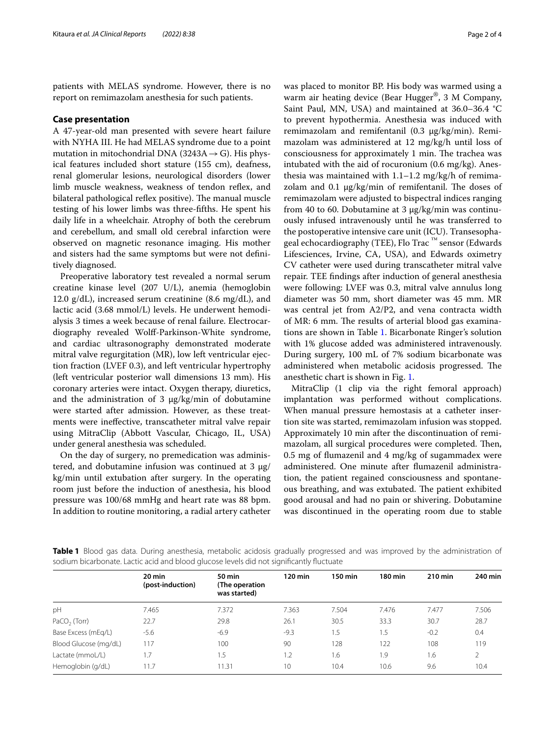patients with MELAS syndrome. However, there is no report on remimazolam anesthesia for such patients.

#### **Case presentation**

A 47-year-old man presented with severe heart failure with NYHA III. He had MELAS syndrome due to a point mutation in mitochondrial DNA (3243A  $\rightarrow$  G). His physical features included short stature (155 cm), deafness, renal glomerular lesions, neurological disorders (lower limb muscle weakness, weakness of tendon reflex, and bilateral pathological reflex positive). The manual muscle testing of his lower limbs was three-ffths. He spent his daily life in a wheelchair. Atrophy of both the cerebrum and cerebellum, and small old cerebral infarction were observed on magnetic resonance imaging. His mother and sisters had the same symptoms but were not defnitively diagnosed.

Preoperative laboratory test revealed a normal serum creatine kinase level (207 U/L), anemia (hemoglobin 12.0  $g/dL$ ), increased serum creatinine (8.6 mg/dL), and lactic acid (3.68 mmol/L) levels. He underwent hemodialysis 3 times a week because of renal failure. Electrocardiography revealed Wolf-Parkinson-White syndrome, and cardiac ultrasonography demonstrated moderate mitral valve regurgitation (MR), low left ventricular ejection fraction (LVEF 0.3), and left ventricular hypertrophy (left ventricular posterior wall dimensions 13 mm). His coronary arteries were intact. Oxygen therapy, diuretics, and the administration of 3  $\mu$ g/kg/min of dobutamine were started after admission. However, as these treatments were inefective, transcatheter mitral valve repair using MitraClip (Abbott Vascular, Chicago, IL, USA) under general anesthesia was scheduled.

On the day of surgery, no premedication was administered, and dobutamine infusion was continued at 3  $\mu$ g/ kg/min until extubation after surgery. In the operating room just before the induction of anesthesia, his blood pressure was 100/68 mmHg and heart rate was 88 bpm. In addition to routine monitoring, a radial artery catheter was placed to monitor BP. His body was warmed using a warm air heating device (Bear Hugger®, 3 M Company, Saint Paul, MN, USA) and maintained at 36.0–36.4 °C to prevent hypothermia. Anesthesia was induced with remimazolam and remifentanil  $(0.3 \mu g/kg/min)$ . Remimazolam was administered at 12 mg/kg/h until loss of consciousness for approximately 1 min. The trachea was intubated with the aid of rocuronium (0.6 mg/kg). Anesthesia was maintained with  $1.1-1.2$  mg/kg/h of remimazolam and 0.1  $\mu$ g/kg/min of remifentanil. The doses of remimazolam were adjusted to bispectral indices ranging from 40 to 60. Dobutamine at 3 µg/kg/min was continuously infused intravenously until he was transferred to the postoperative intensive care unit (ICU). Transesophageal echocardiography (TEE), Flo Trac<sup>™</sup> sensor (Edwards Lifesciences, Irvine, CA, USA), and Edwards oximetry CV catheter were used during transcatheter mitral valve repair. TEE fndings after induction of general anesthesia were following: LVEF was 0.3, mitral valve annulus long diameter was 50 mm, short diameter was 45 mm. MR was central jet from A2/P2, and vena contracta width of MR: 6 mm. The results of arterial blood gas examinations are shown in Table [1](#page-1-0). Bicarbonate Ringer's solution with 1% glucose added was administered intravenously. During surgery, 100 mL of 7% sodium bicarbonate was administered when metabolic acidosis progressed. The anesthetic chart is shown in Fig. [1.](#page-2-0)

MitraClip (1 clip via the right femoral approach) implantation was performed without complications. When manual pressure hemostasis at a catheter insertion site was started, remimazolam infusion was stopped. Approximately 10 min after the discontinuation of remimazolam, all surgical procedures were completed. Then, 0.5 mg of fumazenil and 4 mg/kg of sugammadex were administered. One minute after fumazenil administration, the patient regained consciousness and spontaneous breathing, and was extubated. The patient exhibited good arousal and had no pain or shivering. Dobutamine was discontinued in the operating room due to stable

<span id="page-1-0"></span>**Table 1** Blood gas data. During anesthesia, metabolic acidosis gradually progressed and was improved by the administration of sodium bicarbonate. Lactic acid and blood glucose levels did not signifcantly fuctuate

|                       | 20 min<br>(post-induction) | <b>50 min</b><br>(The operation<br>was started) | 120 min | 150 min | 180 min | 210 min | 240 min |
|-----------------------|----------------------------|-------------------------------------------------|---------|---------|---------|---------|---------|
| pH                    | 7.465                      | 7.372                                           | 7.363   | 7.504   | 7.476   | 7.477   | 7.506   |
| $PaCO2$ (Torr)        | 22.7                       | 29.8                                            | 26.1    | 30.5    | 33.3    | 30.7    | 28.7    |
| Base Excess (mEg/L)   | $-5.6$                     | $-6.9$                                          | $-9.3$  | 1.5     | 1.5     | $-0.2$  | 0.4     |
| Blood Glucose (mg/dL) | 117                        | 100                                             | 90      | 128     | 122     | 108     | 119     |
| Lactate (mmoL/L)      | 1.7                        | 1.5                                             | 1.2     | 1.6     | 1.9     | 1.6     |         |
| Hemoglobin (g/dL)     | 11.7                       | 11.31                                           | 10      | 10.4    | 10.6    | 9.6     | 10.4    |
|                       |                            |                                                 |         |         |         |         |         |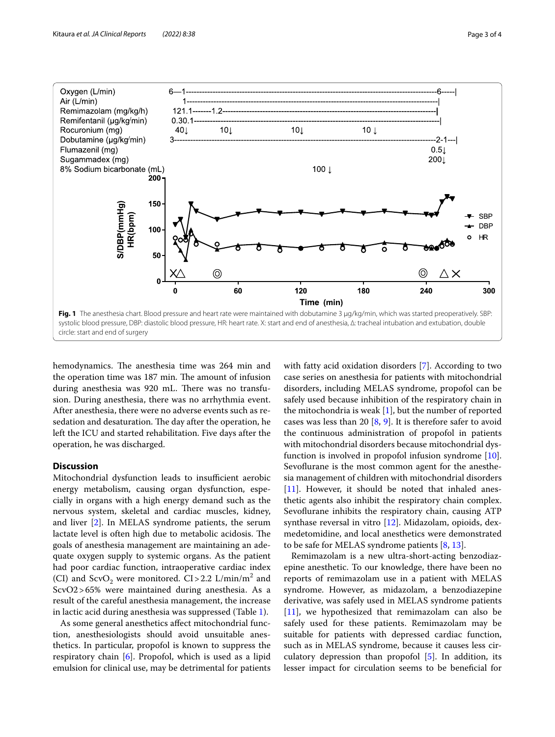

<span id="page-2-0"></span>hemodynamics. The anesthesia time was 264 min and the operation time was 187 min. The amount of infusion during anesthesia was 920 mL. There was no transfusion. During anesthesia, there was no arrhythmia event. After anesthesia, there were no adverse events such as resedation and desaturation. The day after the operation, he left the ICU and started rehabilitation. Five days after the operation, he was discharged.

## **Discussion**

Mitochondrial dysfunction leads to insufficient aerobic energy metabolism, causing organ dysfunction, especially in organs with a high energy demand such as the nervous system, skeletal and cardiac muscles, kidney, and liver [[2\]](#page-3-1). In MELAS syndrome patients, the serum lactate level is often high due to metabolic acidosis. The goals of anesthesia management are maintaining an adequate oxygen supply to systemic organs. As the patient had poor cardiac function, intraoperative cardiac index (CI) and  $\text{ScvO}_2$  were monitored.  $\text{CI} > 2.2$   $\text{L/min/m}^2$  and ScvO2>65% were maintained during anesthesia. As a result of the careful anesthesia management, the increase in lactic acid during anesthesia was suppressed (Table [1\)](#page-1-0).

As some general anesthetics afect mitochondrial function, anesthesiologists should avoid unsuitable anesthetics. In particular, propofol is known to suppress the respiratory chain [[6\]](#page-3-5). Propofol, which is used as a lipid emulsion for clinical use, may be detrimental for patients with fatty acid oxidation disorders [\[7\]](#page-3-6). According to two case series on anesthesia for patients with mitochondrial disorders, including MELAS syndrome, propofol can be safely used because inhibition of the respiratory chain in the mitochondria is weak  $[1]$  $[1]$ , but the number of reported cases was less than 20  $[8, 9]$  $[8, 9]$  $[8, 9]$  $[8, 9]$ . It is therefore safer to avoid the continuous administration of propofol in patients with mitochondrial disorders because mitochondrial dysfunction is involved in propofol infusion syndrome [\[10](#page-3-9)]. Sevoflurane is the most common agent for the anesthesia management of children with mitochondrial disorders [[11\]](#page-3-10). However, it should be noted that inhaled anesthetic agents also inhibit the respiratory chain complex. Sevoflurane inhibits the respiratory chain, causing ATP synthase reversal in vitro [[12\]](#page-3-11). Midazolam, opioids, dexmedetomidine, and local anesthetics were demonstrated to be safe for MELAS syndrome patients [[8](#page-3-7), [13\]](#page-3-12).

Remimazolam is a new ultra-short-acting benzodiazepine anesthetic. To our knowledge, there have been no reports of remimazolam use in a patient with MELAS syndrome. However, as midazolam, a benzodiazepine derivative, was safely used in MELAS syndrome patients [[11\]](#page-3-10), we hypothesized that remimazolam can also be safely used for these patients. Remimazolam may be suitable for patients with depressed cardiac function, such as in MELAS syndrome, because it causes less circulatory depression than propofol [[5\]](#page-3-4). In addition, its lesser impact for circulation seems to be benefcial for